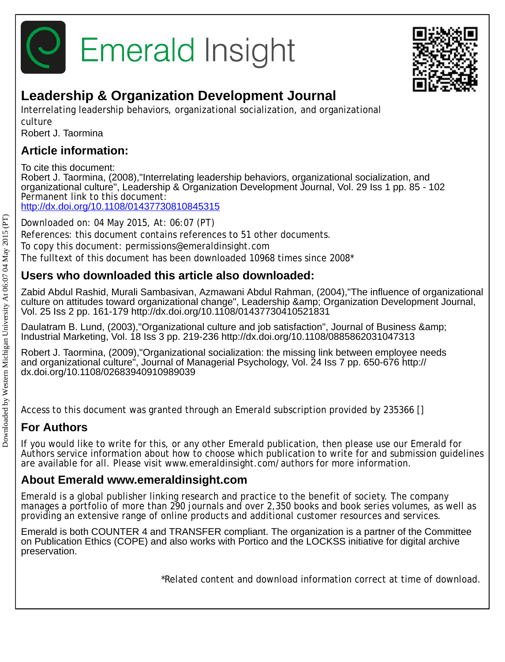



# **Leadership & Organization Development Journal**

Interrelating leadership behaviors, organizational socialization, and organizational culture

Robert J. Taormina

# **Article information:**

To cite this document: Robert J. Taormina, (2008),"Interrelating leadership behaviors, organizational socialization, and organizational culture", Leadership & Organization Development Journal, Vol. 29 Iss 1 pp. 85 - 102 Permanent link to this document: <http://dx.doi.org/10.1108/01437730810845315>

Downloaded on: 04 May 2015, At: 06:07 (PT) References: this document contains references to 51 other documents. To copy this document: permissions@emeraldinsight.com The fulltext of this document has been downloaded 10968 times since 2008\*

# **Users who downloaded this article also downloaded:**

Zabid Abdul Rashid, Murali Sambasivan, Azmawani Abdul Rahman, (2004),"The influence of organizational culture on attitudes toward organizational change", Leadership & amp; Organization Development Journal, Vol. 25 Iss 2 pp. 161-179 http://dx.doi.org/10.1108/01437730410521831

Daulatram B. Lund, (2003),"Organizational culture and job satisfaction", Journal of Business & Industrial Marketing, Vol. 18 Iss 3 pp. 219-236 http://dx.doi.org/10.1108/0885862031047313

Robert J. Taormina, (2009),"Organizational socialization: the missing link between employee needs and organizational culture", Journal of Managerial Psychology, Vol. 24 Iss 7 pp. 650-676 http:// dx.doi.org/10.1108/02683940910989039

Access to this document was granted through an Emerald subscription provided by 235366 []

# **For Authors**

If you would like to write for this, or any other Emerald publication, then please use our Emerald for Authors service information about how to choose which publication to write for and submission guidelines are available for all. Please visit www.emeraldinsight.com/authors for more information.

# **About Emerald www.emeraldinsight.com**

Emerald is a global publisher linking research and practice to the benefit of society. The company manages a portfolio of more than 290 journals and over 2,350 books and book series volumes, as well as providing an extensive range of online products and additional customer resources and services.

Emerald is both COUNTER 4 and TRANSFER compliant. The organization is a partner of the Committee on Publication Ethics (COPE) and also works with Portico and the LOCKSS initiative for digital archive preservation.

\*Related content and download information correct at time of download.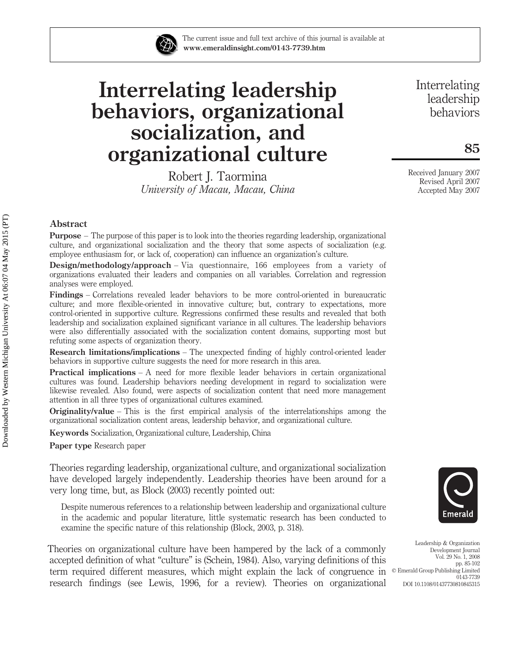The current issue and full text archive of this journal is available at www.emeraldinsight.com/0143-7739.htm

# Interrelating leadership behaviors, organizational socialization, and organizational culture

Robert J. Taormina University of Macau, Macau, China

Abstract

Purpose – The purpose of this paper is to look into the theories regarding leadership, organizational culture, and organizational socialization and the theory that some aspects of socialization (e.g. employee enthusiasm for, or lack of, cooperation) can influence an organization's culture.

Design/methodology/approach – Via questionnaire, 166 employees from a variety of organizations evaluated their leaders and companies on all variables. Correlation and regression analyses were employed.

Findings – Correlations revealed leader behaviors to be more control-oriented in bureaucratic culture; and more flexible-oriented in innovative culture; but, contrary to expectations, more control-oriented in supportive culture. Regressions confirmed these results and revealed that both leadership and socialization explained significant variance in all cultures. The leadership behaviors were also differentially associated with the socialization content domains, supporting most but refuting some aspects of organization theory.

Research limitations/implications – The unexpected finding of highly control-oriented leader behaviors in supportive culture suggests the need for more research in this area.

Practical implications – A need for more flexible leader behaviors in certain organizational cultures was found. Leadership behaviors needing development in regard to socialization were likewise revealed. Also found, were aspects of socialization content that need more management attention in all three types of organizational cultures examined.

Originality/value – This is the first empirical analysis of the interrelationships among the organizational socialization content areas, leadership behavior, and organizational culture.

Keywords Socialization, Organizational culture, Leadership, China

Paper type Research paper

Theories regarding leadership, organizational culture, and organizational socialization have developed largely independently. Leadership theories have been around for a very long time, but, as Block (2003) recently pointed out:

Despite numerous references to a relationship between leadership and organizational culture in the academic and popular literature, little systematic research has been conducted to examine the specific nature of this relationship (Block, 2003, p. 318).

Theories on organizational culture have been hampered by the lack of a commonly accepted definition of what "culture" is (Schein, 1984). Also, varying definitions of this term required different measures, which might explain the lack of congruence in research findings (see Lewis, 1996, for a review). Theories on organizational

Interrelating leadership behaviors

Received January 2007 Revised April 2007 Accepted May 2007

85



Leadership & Organization Development Journal Vol. 29 No. 1, 2008 pp. 85-102  $©$  Emerald Group Publishing Limited 0143-7739 DOI 10.1108/01437730810845315

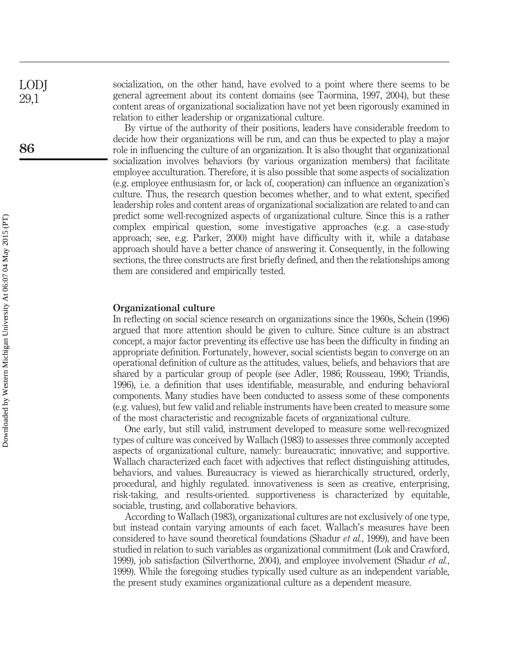socialization, on the other hand, have evolved to a point where there seems to be general agreement about its content domains (see Taormina, 1997, 2004), but these content areas of organizational socialization have not yet been rigorously examined in relation to either leadership or organizational culture.

By virtue of the authority of their positions, leaders have considerable freedom to decide how their organizations will be run, and can thus be expected to play a major role in influencing the culture of an organization. It is also thought that organizational socialization involves behaviors (by various organization members) that facilitate employee acculturation. Therefore, it is also possible that some aspects of socialization (e.g. employee enthusiasm for, or lack of, cooperation) can influence an organization's culture. Thus, the research question becomes whether, and to what extent, specified leadership roles and content areas of organizational socialization are related to and can predict some well-recognized aspects of organizational culture. Since this is a rather complex empirical question, some investigative approaches (e.g. a case-study approach; see, e.g. Parker, 2000) might have difficulty with it, while a database approach should have a better chance of answering it. Consequently, in the following sections, the three constructs are first briefly defined, and then the relationships among them are considered and empirically tested.

## Organizational culture

In reflecting on social science research on organizations since the 1960s, Schein (1996) argued that more attention should be given to culture. Since culture is an abstract concept, a major factor preventing its effective use has been the difficulty in finding an appropriate definition. Fortunately, however, social scientists began to converge on an operational definition of culture as the attitudes, values, beliefs, and behaviors that are shared by a particular group of people (see Adler, 1986; Rousseau, 1990; Triandis, 1996), i.e. a definition that uses identifiable, measurable, and enduring behavioral components. Many studies have been conducted to assess some of these components (e.g. values), but few valid and reliable instruments have been created to measure some of the most characteristic and recognizable facets of organizational culture.

One early, but still valid, instrument developed to measure some well-recognized types of culture was conceived by Wallach (1983) to assesses three commonly accepted aspects of organizational culture, namely: bureaucratic; innovative; and supportive. Wallach characterized each facet with adjectives that reflect distinguishing attitudes, behaviors, and values. Bureaucracy is viewed as hierarchically structured, orderly, procedural, and highly regulated. innovativeness is seen as creative, enterprising, risk-taking, and results-oriented. supportiveness is characterized by equitable, sociable, trusting, and collaborative behaviors.

According to Wallach (1983), organizational cultures are not exclusively of one type, but instead contain varying amounts of each facet. Wallach's measures have been considered to have sound theoretical foundations (Shadur et al., 1999), and have been studied in relation to such variables as organizational commitment (Lok and Crawford, 1999), job satisfaction (Silverthorne, 2004), and employee involvement (Shadur et al., 1999). While the foregoing studies typically used culture as an independent variable, the present study examines organizational culture as a dependent measure.

86

LODJ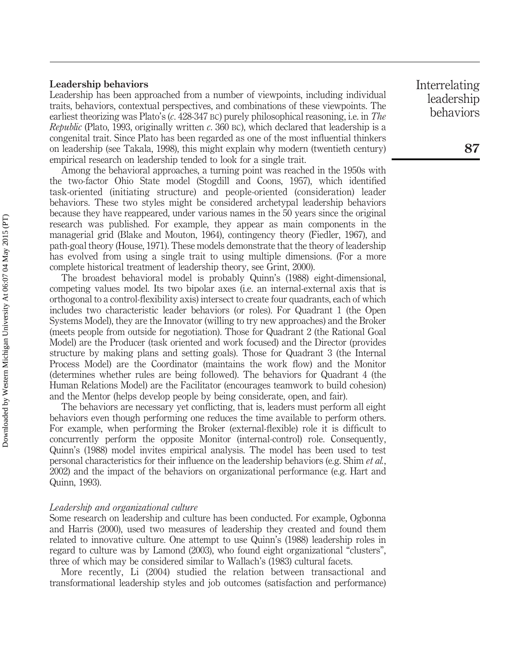# Leadership behaviors

Leadership has been approached from a number of viewpoints, including individual traits, behaviors, contextual perspectives, and combinations of these viewpoints. The earliest theorizing was Plato's (c. 428-347 BC) purely philosophical reasoning, i.e. in The *Republic* (Plato, 1993, originally written  $c$ . 360 BC), which declared that leadership is a congenital trait. Since Plato has been regarded as one of the most influential thinkers on leadership (see Takala, 1998), this might explain why modern (twentieth century) empirical research on leadership tended to look for a single trait.

Among the behavioral approaches, a turning point was reached in the 1950s with the two-factor Ohio State model (Stogdill and Coons, 1957), which identified task-oriented (initiating structure) and people-oriented (consideration) leader behaviors. These two styles might be considered archetypal leadership behaviors because they have reappeared, under various names in the 50 years since the original research was published. For example, they appear as main components in the managerial grid (Blake and Mouton, 1964), contingency theory (Fiedler, 1967), and path-goal theory (House, 1971). These models demonstrate that the theory of leadership has evolved from using a single trait to using multiple dimensions. (For a more complete historical treatment of leadership theory, see Grint, 2000).

The broadest behavioral model is probably Quinn's (1988) eight-dimensional, competing values model. Its two bipolar axes (i.e. an internal-external axis that is orthogonal to a control-flexibility axis) intersect to create four quadrants, each of which includes two characteristic leader behaviors (or roles). For Quadrant 1 (the Open Systems Model), they are the Innovator (willing to try new approaches) and the Broker (meets people from outside for negotiation). Those for Quadrant 2 (the Rational Goal Model) are the Producer (task oriented and work focused) and the Director (provides structure by making plans and setting goals). Those for Quadrant 3 (the Internal Process Model) are the Coordinator (maintains the work flow) and the Monitor (determines whether rules are being followed). The behaviors for Quadrant 4 (the Human Relations Model) are the Facilitator (encourages teamwork to build cohesion) and the Mentor (helps develop people by being considerate, open, and fair).

The behaviors are necessary yet conflicting, that is, leaders must perform all eight behaviors even though performing one reduces the time available to perform others. For example, when performing the Broker (external-flexible) role it is difficult to concurrently perform the opposite Monitor (internal-control) role. Consequently, Quinn's (1988) model invites empirical analysis. The model has been used to test personal characteristics for their influence on the leadership behaviors (e.g. Shim et al., 2002) and the impact of the behaviors on organizational performance (e.g. Hart and Quinn, 1993).

## Leadership and organizational culture

Some research on leadership and culture has been conducted. For example, Ogbonna and Harris (2000), used two measures of leadership they created and found them related to innovative culture. One attempt to use Quinn's (1988) leadership roles in regard to culture was by Lamond (2003), who found eight organizational "clusters", three of which may be considered similar to Wallach's (1983) cultural facets.

More recently, Li (2004) studied the relation between transactional and transformational leadership styles and job outcomes (satisfaction and performance)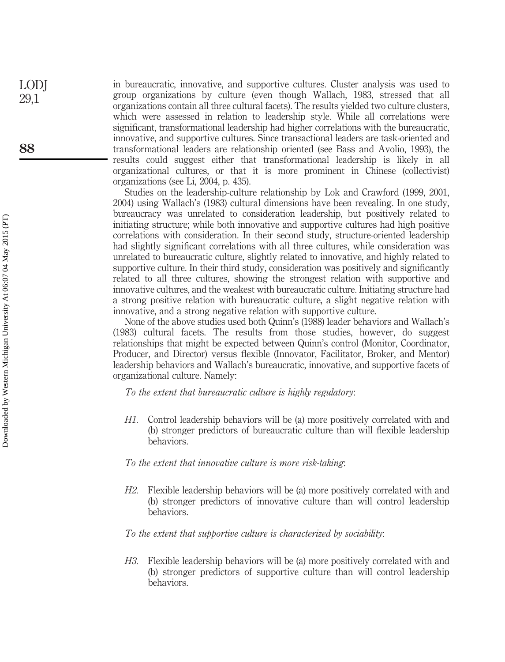in bureaucratic, innovative, and supportive cultures. Cluster analysis was used to group organizations by culture (even though Wallach, 1983, stressed that all organizations contain all three cultural facets). The results yielded two culture clusters, which were assessed in relation to leadership style. While all correlations were significant, transformational leadership had higher correlations with the bureaucratic, innovative, and supportive cultures. Since transactional leaders are task-oriented and transformational leaders are relationship oriented (see Bass and Avolio, 1993), the results could suggest either that transformational leadership is likely in all organizational cultures, or that it is more prominent in Chinese (collectivist) organizations (see Li, 2004, p. 435).

Studies on the leadership-culture relationship by Lok and Crawford (1999, 2001, 2004) using Wallach's (1983) cultural dimensions have been revealing. In one study, bureaucracy was unrelated to consideration leadership, but positively related to initiating structure; while both innovative and supportive cultures had high positive correlations with consideration. In their second study, structure-oriented leadership had slightly significant correlations with all three cultures, while consideration was unrelated to bureaucratic culture, slightly related to innovative, and highly related to supportive culture. In their third study, consideration was positively and significantly related to all three cultures, showing the strongest relation with supportive and innovative cultures, and the weakest with bureaucratic culture. Initiating structure had a strong positive relation with bureaucratic culture, a slight negative relation with innovative, and a strong negative relation with supportive culture.

None of the above studies used both Quinn's (1988) leader behaviors and Wallach's (1983) cultural facets. The results from those studies, however, do suggest relationships that might be expected between Quinn's control (Monitor, Coordinator, Producer, and Director) versus flexible (Innovator, Facilitator, Broker, and Mentor) leadership behaviors and Wallach's bureaucratic, innovative, and supportive facets of organizational culture. Namely:

To the extent that bureaucratic culture is highly regulatory:

H1. Control leadership behaviors will be (a) more positively correlated with and (b) stronger predictors of bureaucratic culture than will flexible leadership behaviors.

To the extent that innovative culture is more risk-taking:

H2. Flexible leadership behaviors will be (a) more positively correlated with and (b) stronger predictors of innovative culture than will control leadership behaviors.

# To the extent that supportive culture is characterized by sociability:

H3. Flexible leadership behaviors will be (a) more positively correlated with and (b) stronger predictors of supportive culture than will control leadership behaviors.

LODJ 29,1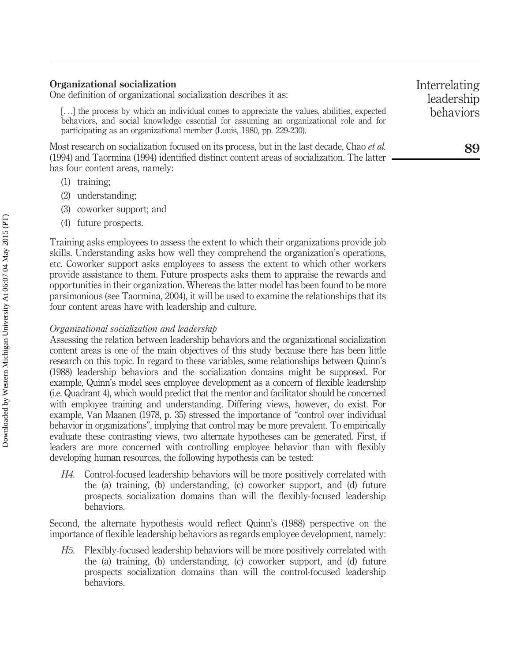# Organizational socialization

One definition of organizational socialization describes it as:

[...] the process by which an individual comes to appreciate the values, abilities, expected behaviors, and social knowledge essential for assuming an organizational role and for participating as an organizational member (Louis, 1980, pp. 229-230).

Most research on socialization focused on its process, but in the last decade, Chao *et al.* (1994) and Taormina (1994) identified distinct content areas of socialization. The latter has four content areas, namely:

- (1) training;
- (2) understanding;
- (3) coworker support; and
- (4) future prospects.

Training asks employees to assess the extent to which their organizations provide job skills. Understanding asks how well they comprehend the organization's operations, etc. Coworker support asks employees to assess the extent to which other workers provide assistance to them. Future prospects asks them to appraise the rewards and opportunities in their organization. Whereas the latter model has been found to be more parsimonious (see Taormina, 2004), it will be used to examine the relationships that its four content areas have with leadership and culture.

# Organizational socialization and leadership

Assessing the relation between leadership behaviors and the organizational socialization content areas is one of the main objectives of this study because there has been little research on this topic. In regard to these variables, some relationships between Quinn's (1988) leadership behaviors and the socialization domains might be supposed. For example, Quinn's model sees employee development as a concern of flexible leadership (i.e. Quadrant 4), which would predict that the mentor and facilitator should be concerned with employee training and understanding. Differing views, however, do exist. For example, Van Maanen (1978, p. 35) stressed the importance of "control over individual behavior in organizations", implying that control may be more prevalent. To empirically evaluate these contrasting views, two alternate hypotheses can be generated. First, if leaders are more concerned with controlling employee behavior than with flexibly developing human resources, the following hypothesis can be tested:

H4. Control-focused leadership behaviors will be more positively correlated with the (a) training, (b) understanding, (c) coworker support, and (d) future prospects socialization domains than will the flexibly-focused leadership behaviors.

Second, the alternate hypothesis would reflect Quinn's (1988) perspective on the importance of flexible leadership behaviors as regards employee development, namely:

H5. Flexibly-focused leadership behaviors will be more positively correlated with the (a) training, (b) understanding, (c) coworker support, and (d) future prospects socialization domains than will the control-focused leadership behaviors.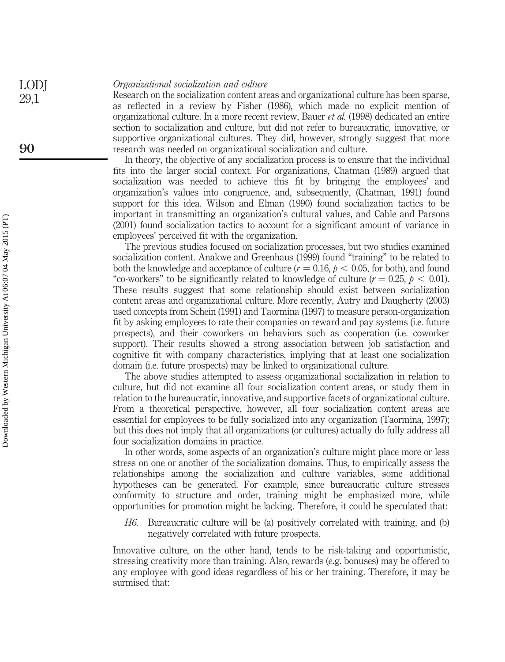## Organizational socialization and culture

Research on the socialization content areas and organizational culture has been sparse, as reflected in a review by Fisher (1986), which made no explicit mention of organizational culture. In a more recent review, Bauer et al. (1998) dedicated an entire section to socialization and culture, but did not refer to bureaucratic, innovative, or supportive organizational cultures. They did, however, strongly suggest that more research was needed on organizational socialization and culture.

In theory, the objective of any socialization process is to ensure that the individual fits into the larger social context. For organizations, Chatman (1989) argued that socialization was needed to achieve this fit by bringing the employees' and organization's values into congruence, and, subsequently, (Chatman, 1991) found support for this idea. Wilson and Elman (1990) found socialization tactics to be important in transmitting an organization's cultural values, and Cable and Parsons (2001) found socialization tactics to account for a significant amount of variance in employees' perceived fit with the organization.

The previous studies focused on socialization processes, but two studies examined socialization content. Anakwe and Greenhaus (1999) found "training" to be related to both the knowledge and acceptance of culture ( $r = 0.16$ ,  $p < 0.05$ , for both), and found "co-workers" to be significantly related to knowledge of culture ( $r = 0.25$ ,  $p < 0.01$ ). These results suggest that some relationship should exist between socialization content areas and organizational culture. More recently, Autry and Daugherty (2003) used concepts from Schein (1991) and Taormina (1997) to measure person-organization fit by asking employees to rate their companies on reward and pay systems (i.e. future prospects), and their coworkers on behaviors such as cooperation (i.e. coworker support). Their results showed a strong association between job satisfaction and cognitive fit with company characteristics, implying that at least one socialization domain (i.e. future prospects) may be linked to organizational culture.

The above studies attempted to assess organizational socialization in relation to culture, but did not examine all four socialization content areas, or study them in relation to the bureaucratic, innovative, and supportive facets of organizational culture. From a theoretical perspective, however, all four socialization content areas are essential for employees to be fully socialized into any organization (Taormina, 1997); but this does not imply that all organizations (or cultures) actually do fully address all four socialization domains in practice.

In other words, some aspects of an organization's culture might place more or less stress on one or another of the socialization domains. Thus, to empirically assess the relationships among the socialization and culture variables, some additional hypotheses can be generated. For example, since bureaucratic culture stresses conformity to structure and order, training might be emphasized more, while opportunities for promotion might be lacking. Therefore, it could be speculated that:

H6. Bureaucratic culture will be (a) positively correlated with training, and (b) negatively correlated with future prospects.

Innovative culture, on the other hand, tends to be risk-taking and opportunistic, stressing creativity more than training. Also, rewards (e.g. bonuses) may be offered to any employee with good ideas regardless of his or her training. Therefore, it may be surmised that:

LODJ 29,1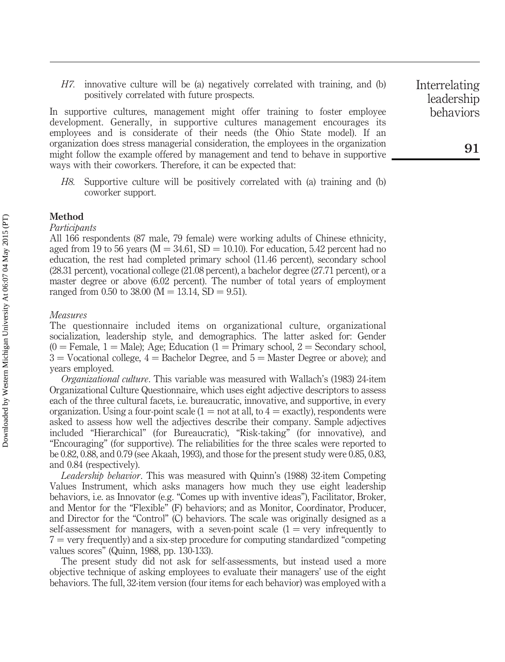H7. innovative culture will be (a) negatively correlated with training, and (b) positively correlated with future prospects.

In supportive cultures, management might offer training to foster employee development. Generally, in supportive cultures management encourages its employees and is considerate of their needs (the Ohio State model). If an organization does stress managerial consideration, the employees in the organization might follow the example offered by management and tend to behave in supportive ways with their coworkers. Therefore, it can be expected that:

H8. Supportive culture will be positively correlated with (a) training and (b) coworker support.

## Method

# **Participants**

All 166 respondents (87 male, 79 female) were working adults of Chinese ethnicity, aged from 19 to 56 years ( $M = 34.61$ ,  $SD = 10.10$ ). For education, 5.42 percent had no education, the rest had completed primary school (11.46 percent), secondary school (28.31 percent), vocational college (21.08 percent), a bachelor degree (27.71 percent), or a master degree or above (6.02 percent). The number of total years of employment ranged from 0.50 to 38.00 ( $M = 13.14$ , SD = 9.51).

#### Measures

The questionnaire included items on organizational culture, organizational socialization, leadership style, and demographics. The latter asked for: Gender  $(0 =$  Female, 1 = Male); Age; Education (1 = Primary school, 2 = Secondary school,  $3 =$  Vocational college,  $4 =$  Bachelor Degree, and  $5 =$  Master Degree or above); and years employed.

Organizational culture. This variable was measured with Wallach's (1983) 24-item Organizational Culture Questionnaire, which uses eight adjective descriptors to assess each of the three cultural facets, i.e. bureaucratic, innovative, and supportive, in every organization. Using a four-point scale  $(1 = not at all, to 4 = exactly)$ , respondents were asked to assess how well the adjectives describe their company. Sample adjectives included "Hierarchical" (for Bureaucratic), "Risk-taking" (for innovative), and "Encouraging" (for supportive). The reliabilities for the three scales were reported to be 0.82, 0.88, and 0.79 (see Akaah, 1993), and those for the present study were 0.85, 0.83, and 0.84 (respectively).

Leadership behavior. This was measured with Quinn's (1988) 32-item Competing Values Instrument, which asks managers how much they use eight leadership behaviors, i.e. as Innovator (e.g. "Comes up with inventive ideas"), Facilitator, Broker, and Mentor for the "Flexible" (F) behaviors; and as Monitor, Coordinator, Producer, and Director for the "Control" (C) behaviors. The scale was originally designed as a self-assessment for managers, with a seven-point scale  $(1 = \text{very infrequently to})$  $7 = \text{very frequently}$ ) and a six-step procedure for computing standardized "competing" values scores" (Quinn, 1988, pp. 130-133).

The present study did not ask for self-assessments, but instead used a more objective technique of asking employees to evaluate their managers' use of the eight behaviors. The full, 32-item version (four items for each behavior) was employed with a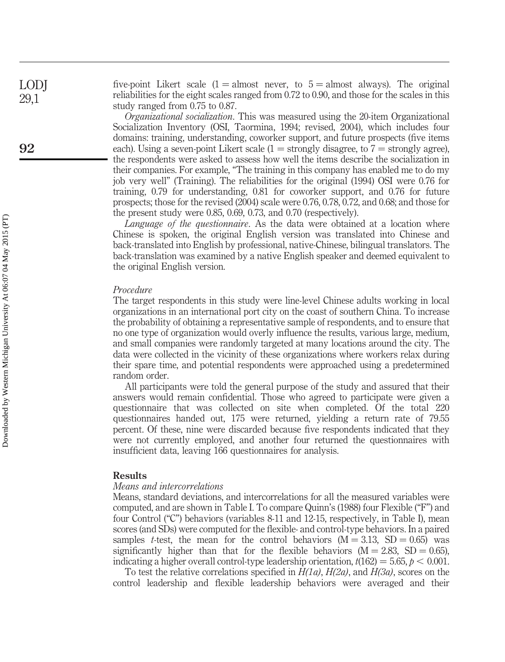five-point Likert scale  $(1 =$  almost never, to  $5 =$  almost always). The original reliabilities for the eight scales ranged from 0.72 to 0.90, and those for the scales in this study ranged from 0.75 to 0.87.

Organizational socialization. This was measured using the 20-item Organizational Socialization Inventory (OSI, Taormina, 1994; revised, 2004), which includes four domains: training, understanding, coworker support, and future prospects (five items each). Using a seven-point Likert scale  $(1 =$  strongly disagree, to  $7 =$  strongly agree), the respondents were asked to assess how well the items describe the socialization in their companies. For example, "The training in this company has enabled me to do my job very well" (Training). The reliabilities for the original (1994) OSI were 0.76 for training, 0.79 for understanding, 0.81 for coworker support, and 0.76 for future prospects; those for the revised (2004) scale were 0.76, 0.78, 0.72, and 0.68; and those for the present study were 0.85, 0.69, 0.73, and 0.70 (respectively).

Language of the questionnaire. As the data were obtained at a location where Chinese is spoken, the original English version was translated into Chinese and back-translated into English by professional, native-Chinese, bilingual translators. The back-translation was examined by a native English speaker and deemed equivalent to the original English version.

# Procedure

The target respondents in this study were line-level Chinese adults working in local organizations in an international port city on the coast of southern China. To increase the probability of obtaining a representative sample of respondents, and to ensure that no one type of organization would overly influence the results, various large, medium, and small companies were randomly targeted at many locations around the city. The data were collected in the vicinity of these organizations where workers relax during their spare time, and potential respondents were approached using a predetermined random order.

All participants were told the general purpose of the study and assured that their answers would remain confidential. Those who agreed to participate were given a questionnaire that was collected on site when completed. Of the total 220 questionnaires handed out, 175 were returned, yielding a return rate of 79.55 percent. Of these, nine were discarded because five respondents indicated that they were not currently employed, and another four returned the questionnaires with insufficient data, leaving 166 questionnaires for analysis.

# Results

#### Means and intercorrelations

Means, standard deviations, and intercorrelations for all the measured variables were computed, and are shown in Table I. To compare Quinn's (1988) four Flexible ("F") and four Control ("C") behaviors (variables 8-11 and 12-15, respectively, in Table I), mean scores (and SDs) were computed for the flexible- and control-type behaviors. In a paired samples t-test, the mean for the control behaviors  $(M = 3.13, SD = 0.65)$  was significantly higher than that for the flexible behaviors  $(M = 2.83, SD = 0.65)$ , indicating a higher overall control-type leadership orientation,  $t(162) = 5.65, p < 0.001$ .

To test the relative correlations specified in  $H(1a)$ ,  $H(2a)$ , and  $H(3a)$ , scores on the control leadership and flexible leadership behaviors were averaged and their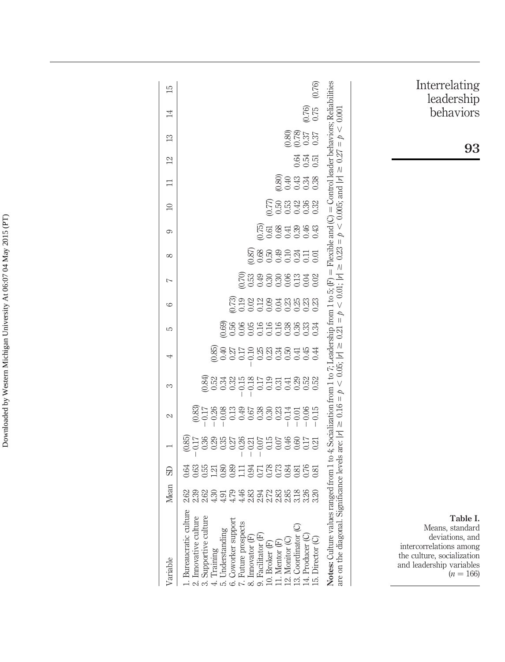| Variable                                                                                                                                                                                                                                                                      | Mean | $\overline{\mathbb{S}}$ |                                                      | 2                                                                                                                                                                                                            | S                                                                                                                                   | 4 | 5 | 9             | $\overline{ }$ | $\infty$     | 6                                                | $\approx$                     | $\Box$           | $\overline{2}$  | 13                   | $\overline{14}$                             | 15     |
|-------------------------------------------------------------------------------------------------------------------------------------------------------------------------------------------------------------------------------------------------------------------------------|------|-------------------------|------------------------------------------------------|--------------------------------------------------------------------------------------------------------------------------------------------------------------------------------------------------------------|-------------------------------------------------------------------------------------------------------------------------------------|---|---|---------------|----------------|--------------|--------------------------------------------------|-------------------------------|------------------|-----------------|----------------------|---------------------------------------------|--------|
| . Bureaucratic culture<br>2. Innovative culture<br>3. Supportive culture<br>4. Training<br>6. Coworker support<br>6. Coworker support<br>6. Coworker support<br>8. Innovator (F)<br>9. Facilitator (F)<br>11 Mentor (F)<br>12 Monitor (C)<br>13 Coordinator (C)<br>14 Produce |      | 영영명의 영영국와 다양 이 영영 이 영   | 827888588525588675<br>00000000000000000<br>827888585 | $0.33$ $0.7788$ $0.7788$ $0.7788$ $0.7788$ $0.7788$ $0.7788$ $0.7788$ $0.7788$ $0.7788$ $0.7788$ $0.7788$ $0.7788$ $0.7788$ $0.7788$ $0.7788$ $0.7788$ $0.7788$ $0.7788$ $0.7788$ $0.7788$ $0.7788$ $0.7788$ | 9 3 3 3 3 4 5 6 7 5 9 5 9 5 9 5 9<br>이 0 0 0 0 0 0 0 0 0 0 0 0 0 0<br>2 3 3 3 4 5 5 7 9 9 9 9 9 9                                   |   |   | coooooooooooo |                | 838892341100 | ្រុក នូ អូ ម៉ូ អូ អូ អូ<br>ដូច ទី ទី ទី ទី ទី ទី | ្ត្រី ដូង អូង<br>ក្នុង អូង អូ | 894338<br>004338 | ತ್ತೆ ಪ್ರವ<br>ರಂ | 0.80<br>0.78<br>0.97 | $\begin{array}{c} 0.76 \\ 0.75 \end{array}$ | (0.76) |
| Notes: Culture values ranged from 1 to 4; Socialization from 1 to 7; Leadership from 1 to 5; (F) = Flexible and (C) = Control leader behaviors; Reliabilities<br>are on the diagonal. Si,                                                                                     |      |                         |                                                      |                                                                                                                                                                                                              | ignificance levels are:  r  ≥ 0.16 = $p < 0.05$ ;  r  ≥ 0.21 = $p < 0.01$ ;  r  ≥ 0.23 = $p < 0.005$ ; and  r  ≥ 0.27 = $p < 0.001$ |   |   |               |                |              |                                                  |                               |                  |                 |                      |                                             |        |
|                                                                                                                                                                                                                                                                               |      |                         |                                                      |                                                                                                                                                                                                              |                                                                                                                                     |   |   |               |                |              |                                                  |                               |                  |                 |                      |                                             |        |

Interrelating leadership behaviors

93

Downloaded by Western Michigan University At 06:07 04 May 2015 (PT) Downloaded by Western Michigan University At 06:07 04 May 2015 (PT)

> Table I. Means, standard deviations, and intercorrelations among the culture, socialization and leadership variables  $(n = 166)$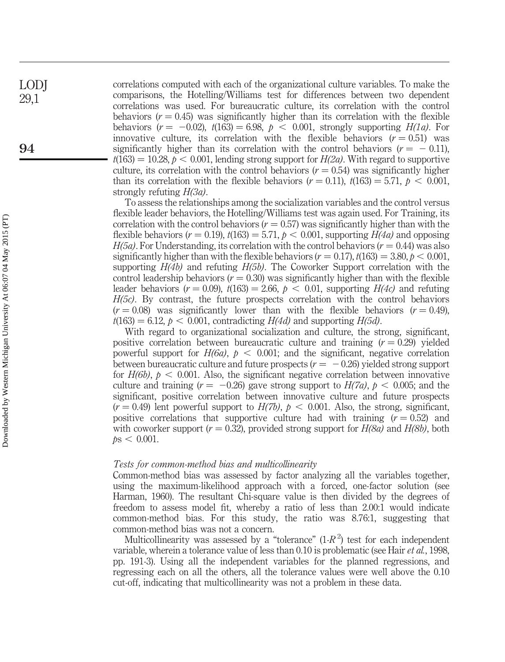correlations computed with each of the organizational culture variables. To make the comparisons, the Hotelling/Williams test for differences between two dependent correlations was used. For bureaucratic culture, its correlation with the control behaviors ( $r = 0.45$ ) was significantly higher than its correlation with the flexible behaviors  $(r = -0.02)$ ,  $t(163) = 6.98$ ,  $p < 0.001$ , strongly supporting  $H(1a)$ . For innovative culture, its correlation with the flexible behaviors  $(r = 0.51)$  was significantly higher than its correlation with the control behaviors  $(r = -0.11)$ ,  $t(163) = 10.28$ ,  $p < 0.001$ , lending strong support for  $H(2a)$ . With regard to supportive culture, its correlation with the control behaviors ( $r = 0.54$ ) was significantly higher than its correlation with the flexible behaviors ( $r = 0.11$ ),  $t(163) = 5.71$ ,  $p < 0.001$ , strongly refuting  $H(3a)$ .

To assess the relationships among the socialization variables and the control versus flexible leader behaviors, the Hotelling/Williams test was again used. For Training, its correlation with the control behaviors ( $r = 0.57$ ) was significantly higher than with the flexible behaviors ( $r = 0.19$ ),  $t(163) = 5.71$ ,  $p < 0.001$ , supporting  $H(4a)$  and opposing  $H(5a)$ . For Understanding, its correlation with the control behaviors ( $r = 0.44$ ) was also significantly higher than with the flexible behaviors ( $r = 0.17$ ),  $t(163) = 3.80, p < 0.001$ , supporting  $H(4b)$  and refuting  $H(5b)$ . The Coworker Support correlation with the control leadership behaviors ( $r = 0.30$ ) was significantly higher than with the flexible leader behaviors ( $r = 0.09$ ),  $t(163) = 2.66$ ,  $p < 0.01$ , supporting  $H(4c)$  and refuting  $H(5c)$ . By contrast, the future prospects correlation with the control behaviors  $(r = 0.08)$  was significantly lower than with the flexible behaviors  $(r = 0.49)$ ,  $t(163) = 6.12$ ,  $p < 0.001$ , contradicting  $H(4d)$  and supporting  $H(5d)$ .

With regard to organizational socialization and culture, the strong, significant, positive correlation between bureaucratic culture and training  $(r = 0.29)$  yielded powerful support for  $H(6a)$ ,  $p < 0.001$ ; and the significant, negative correlation between bureaucratic culture and future prospects ( $r = -0.26$ ) yielded strong support for  $H(6b)$ ,  $p < 0.001$ . Also, the significant negative correlation between innovative culture and training ( $r = -0.26$ ) gave strong support to  $H(7a)$ ,  $p < 0.005$ ; and the significant, positive correlation between innovative culture and future prospects  $(r = 0.49)$  lent powerful support to  $H(7b)$ ,  $p < 0.001$ . Also, the strong, significant, positive correlations that supportive culture had with training  $(r = 0.52)$  and with coworker support ( $r = 0.32$ ), provided strong support for  $H(8a)$  and  $H(8b)$ , both  $ps < 0.001$ .

## Tests for common-method bias and multicollinearity

Common-method bias was assessed by factor analyzing all the variables together, using the maximum-likelihood approach with a forced, one-factor solution (see Harman, 1960). The resultant Chi-square value is then divided by the degrees of freedom to assess model fit, whereby a ratio of less than 2.00:1 would indicate common-method bias. For this study, the ratio was 8.76:1, suggesting that common-method bias was not a concern.

Multicollinearity was assessed by a "tolerance"  $(1-R^2)$  test for each independent variable, wherein a tolerance value of less than 0.10 is problematic (see Hair et al., 1998, pp. 191-3). Using all the independent variables for the planned regressions, and regressing each on all the others, all the tolerance values were well above the 0.10 cut-off, indicating that multicollinearity was not a problem in these data.

LODJ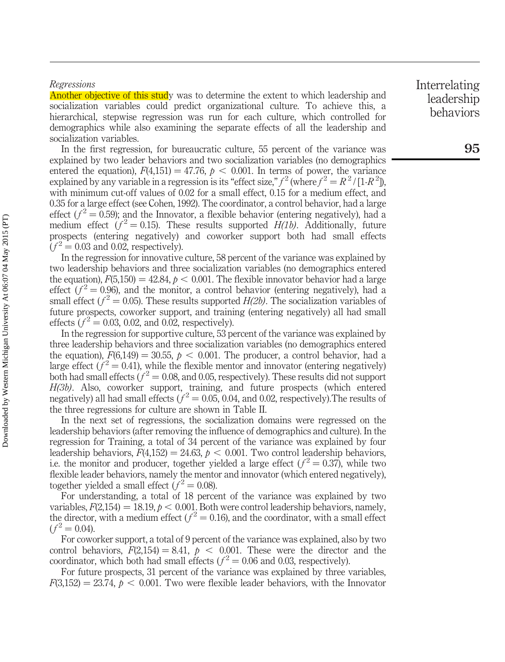#### Regressions

Another objective of this study was to determine the extent to which leadership and socialization variables could predict organizational culture. To achieve this, a hierarchical, stepwise regression was run for each culture, which controlled for demographics while also examining the separate effects of all the leadership and socialization variables.

In the first regression, for bureaucratic culture, 55 percent of the variance was explained by two leader behaviors and two socialization variables (no demographics entered the equation),  $F(4,151) = 47.76$ ,  $p < 0.001$ . In terms of power, the variance explained by any variable in a regression is its "effect size,"  $f^2$  (where  $f^2 = R^2/[1-R^2]$ ), with minimum cut-off values of 0.02 for a small effect, 0.15 for a medium effect, and 0.35 for a large effect (see Cohen, 1992). The coordinator, a control behavior, had a large effect ( $f^2 = 0.59$ ); and the Innovator, a flexible behavior (entering negatively), had a medium effect  $(f^2 = 0.15)$ . These results supported  $H(1b)$ . Additionally, future prospects (entering negatively) and coworker support both had small effects  $(f^2 = 0.03$  and 0.02, respectively).

In the regression for innovative culture, 58 percent of the variance was explained by two leadership behaviors and three socialization variables (no demographics entered the equation),  $F(5,150) = 42.84$ ,  $p < 0.001$ . The flexible innovator behavior had a large effect ( $f^2 = 0.96$ ), and the monitor, a control behavior (entering negatively), had a small effect ( $f^2 = 0.05$ ). These results supported  $H(2b)$ . The socialization variables of future prospects, coworker support, and training (entering negatively) all had small effects  $(f^2 = 0.03, 0.02,$  and 0.02, respectively).

In the regression for supportive culture, 53 percent of the variance was explained by three leadership behaviors and three socialization variables (no demographics entered the equation),  $F(6,149) = 30.55$ ,  $p < 0.001$ . The producer, a control behavior, had a large effect ( $f^2 = 0.41$ ), while the flexible mentor and innovator (entering negatively) both had small effects  $(f^2 = 0.08$ , and 0.05, respectively). These results did not support H(3b). Also, coworker support, training, and future prospects (which entered negatively) all had small effects ( $f^2 = 0.05$ , 0.04, and 0.02, respectively). The results of the three regressions for culture are shown in Table II.

In the next set of regressions, the socialization domains were regressed on the leadership behaviors (after removing the influence of demographics and culture). In the regression for Training, a total of 34 percent of the variance was explained by four leadership behaviors,  $F(4,152) = 24.63$ ,  $p < 0.001$ . Two control leadership behaviors, i.e. the monitor and producer, together yielded a large effect ( $f^2 = 0.37$ ), while two flexible leader behaviors, namely the mentor and innovator (which entered negatively), together yielded a small effect  $(f^2 = 0.08)$ .

For understanding, a total of 18 percent of the variance was explained by two variables,  $F(2,154) = 18.19, p < 0.001$ . Both were control leadership behaviors, namely, the director, with a medium effect ( $f^2 = 0.16$ ), and the coordinator, with a small effect  $(f^2 = 0.04)$ .

For coworker support, a total of 9 percent of the variance was explained, also by two control behaviors,  $F(2,154) = 8.41$ ,  $p < 0.001$ . These were the director and the coordinator, which both had small effects ( $f^2 = 0.06$  and 0.03, respectively).

For future prospects, 31 percent of the variance was explained by three variables,  $F(3,152) = 23.74$ ,  $p < 0.001$ . Two were flexible leader behaviors, with the Innovator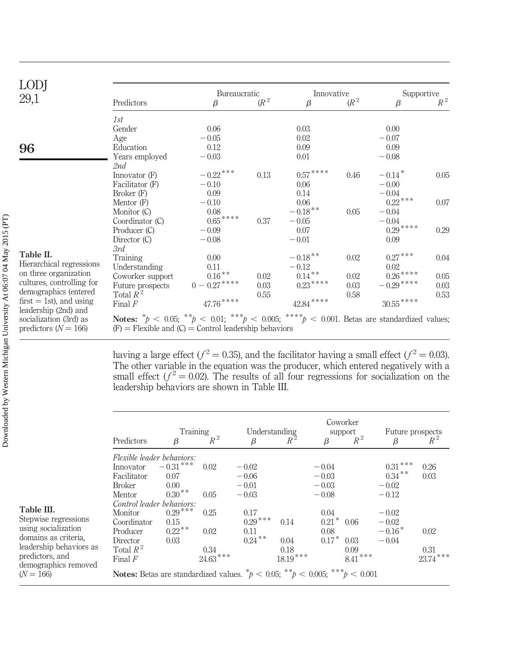|                                                   |                                                                                                                                       | Bureaucratic        |         | Innovative                     |         | Supportive                   |       |
|---------------------------------------------------|---------------------------------------------------------------------------------------------------------------------------------------|---------------------|---------|--------------------------------|---------|------------------------------|-------|
| 29,1                                              | Predictors                                                                                                                            | β                   | $(R^2)$ | β                              | $(R^2)$ | β                            | $R^2$ |
|                                                   | 1st                                                                                                                                   |                     |         |                                |         |                              |       |
|                                                   | Gender                                                                                                                                | 0.06                |         | 0.03                           |         | 0.00                         |       |
|                                                   | Age                                                                                                                                   | $-0.05$             |         | 0.02                           |         | $-0.07$                      |       |
| 96                                                | Education                                                                                                                             | 0.12                |         | 0.09                           |         | 0.09                         |       |
|                                                   | Years employed                                                                                                                        | $-0.03$             |         | 0.01                           |         | $-0.08$                      |       |
|                                                   | 2nd                                                                                                                                   |                     |         |                                |         |                              |       |
|                                                   | Innovator $(F)$                                                                                                                       | $-0.22***$          | 0.13    | $0.57^{\;***}$                 | 0.46    | $-0.14*$                     | 0.05  |
|                                                   | Facilitator (F)                                                                                                                       | $-0.10$             |         | 0.06                           |         | $-0.00$                      |       |
|                                                   | Broker (F)                                                                                                                            | 0.09                |         | 0.14                           |         | $-0.04$                      |       |
|                                                   | Mentor $(F)$                                                                                                                          | $-0.10$             |         | 0.06                           |         | $0.22***$                    | 0.07  |
|                                                   | Monitor (C)                                                                                                                           | 0.08                |         | $-0.18$ $^{\ast}$ $^{\ast}$    | 0.05    | $-0.04$                      |       |
|                                                   | Coordinator (C)                                                                                                                       | $0.65^{\,***\,*}$   | 0.37    | $-0.05$                        |         | $-0.04$                      |       |
|                                                   | Producer (C)                                                                                                                          | $-0.09$             |         | 0.07                           |         | $0.29***$                    | 0.29  |
|                                                   | Director $(C)$                                                                                                                        | $-0.08$             |         | $-0.01$                        |         | 0.09                         |       |
|                                                   | 3rd                                                                                                                                   |                     |         |                                |         |                              |       |
| Table II.                                         | Training                                                                                                                              | 0.00                |         | $- \, 0.18 \, ^{\ast \, \ast}$ | 0.02    | $0.27***$                    | 0.04  |
| Hierarchical regressions                          | Understanding                                                                                                                         | 0.11                |         | $-0.12$                        |         | $0.02\,$                     |       |
| on three organization                             | Coworker support                                                                                                                      | $0.16$ $^{\ast\,*}$ | 0.02    | $0.14***$                      | 0.02    | $0.26***$                    | 0.05  |
| cultures, controlling for                         | Future prospects                                                                                                                      | $0 - 0.27***$       | 0.03    | $0.23^{\,***\,*}$              | 0.03    | $-0.29***$                   | 0.03  |
| demographics (entered                             | Total $R^2$                                                                                                                           |                     | 0.55    |                                | 0.58    |                              | 0.53  |
| $first = 1st$ , and using<br>leadership (2nd) and | Final $F$                                                                                                                             | $47.76^{\,***}$     |         | $42.84^{\;***}$                |         | ${30.55}^{\ast\ast\ast\ast}$ |       |
| socialization (3rd) as                            | <b>Notes:</b> ${}^*\!p < 0.05$ ; ${}^{**}\!p < 0.01$ ; ${}^{***}\!p < 0.005$ ; ${}^{***}\!p < 0.001$ . Betas are standardized values; |                     |         |                                |         |                              |       |
| predictors $(N = 166)$                            | $(F)$ = Flexible and $(C)$ = Control leadership behaviors                                                                             |                     |         |                                |         |                              |       |

having a large effect ( $f^2 = 0.35$ ), and the facilitator having a small effect ( $f^2 = 0.03$ ). The other variable in the equation was the producer, which entered negatively with a small effect ( $f^2 = 0.02$ ). The results of all four regressions for socialization on the leadership behaviors are shown in Table III.

|                            | Training  |            | Understanding |            |         | Coworker<br>support | Future prospects |            |
|----------------------------|-----------|------------|---------------|------------|---------|---------------------|------------------|------------|
| Predictors                 | β         | $R^2$      | β             | $R^2$      |         | $R^2$               | ß                | $R^2$      |
| Flexible leader behaviors: |           |            |               |            |         |                     |                  |            |
| Innovator $-0.31***$       |           | 0.02       | $-0.02$       |            | $-0.04$ |                     | $0.31***$        | 0.26       |
| Facilitator                | 0.07      |            | $-0.06$       |            | $-0.03$ |                     | $0.34***$        | 0.03       |
| <b>Broker</b>              | 0.00      |            | $-0.01$       |            | $-0.03$ |                     | $-0.02$          |            |
| <b>Mentor</b>              | $0.30**$  | 0.05       | $-0.03$       |            | $-0.08$ |                     | $-0.12$          |            |
| Control leader behaviors:  |           |            |               |            |         |                     |                  |            |
| Monitor                    | $0.29***$ | 0.25       | 0.17          |            | 0.04    |                     | $-0.02$          |            |
| Coordinator                | 0.15      |            | $0.29***$     | 0.14       | $0.21*$ | 0.06                | $-0.02$          |            |
| Producer                   | $0.22***$ | 0.02       | 0.11          |            | 0.08    |                     | $-0.16*$         | 0.02       |
| Director                   | 0.03      |            | $0.24***$     | 0.04       | $0.17*$ | 0.03                | $-0.04$          |            |
| Total $R^2$                |           | 0.34       |               | 0.18       |         | 0.09                |                  | 0.31       |
| Final $F$                  |           | $24.63***$ |               | $18.19***$ |         | $8.41***$           |                  | $23.74***$ |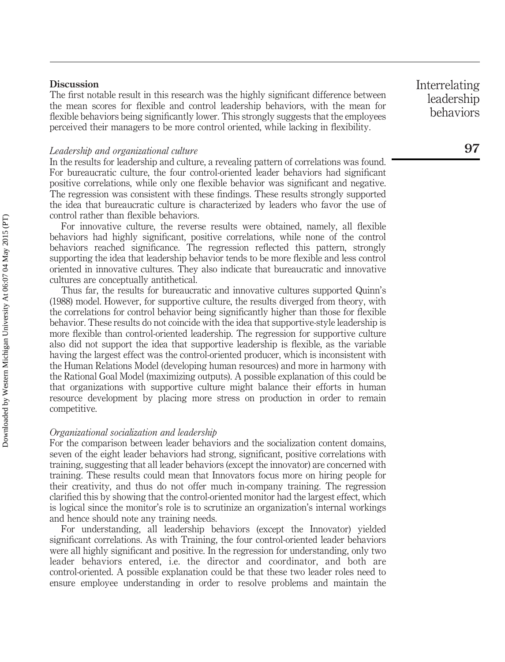# **Discussion**

The first notable result in this research was the highly significant difference between the mean scores for flexible and control leadership behaviors, with the mean for flexible behaviors being significantly lower. This strongly suggests that the employees perceived their managers to be more control oriented, while lacking in flexibility.

## Leadership and organizational culture

In the results for leadership and culture, a revealing pattern of correlations was found. For bureaucratic culture, the four control-oriented leader behaviors had significant positive correlations, while only one flexible behavior was significant and negative. The regression was consistent with these findings. These results strongly supported the idea that bureaucratic culture is characterized by leaders who favor the use of control rather than flexible behaviors.

For innovative culture, the reverse results were obtained, namely, all flexible behaviors had highly significant, positive correlations, while none of the control behaviors reached significance. The regression reflected this pattern, strongly supporting the idea that leadership behavior tends to be more flexible and less control oriented in innovative cultures. They also indicate that bureaucratic and innovative cultures are conceptually antithetical.

Thus far, the results for bureaucratic and innovative cultures supported Quinn's (1988) model. However, for supportive culture, the results diverged from theory, with the correlations for control behavior being significantly higher than those for flexible behavior. These results do not coincide with the idea that supportive-style leadership is more flexible than control-oriented leadership. The regression for supportive culture also did not support the idea that supportive leadership is flexible, as the variable having the largest effect was the control-oriented producer, which is inconsistent with the Human Relations Model (developing human resources) and more in harmony with the Rational Goal Model (maximizing outputs). A possible explanation of this could be that organizations with supportive culture might balance their efforts in human resource development by placing more stress on production in order to remain competitive.

## Organizational socialization and leadership

For the comparison between leader behaviors and the socialization content domains, seven of the eight leader behaviors had strong, significant, positive correlations with training, suggesting that all leader behaviors (except the innovator) are concerned with training. These results could mean that Innovators focus more on hiring people for their creativity, and thus do not offer much in-company training. The regression clarified this by showing that the control-oriented monitor had the largest effect, which is logical since the monitor's role is to scrutinize an organization's internal workings and hence should note any training needs.

For understanding, all leadership behaviors (except the Innovator) yielded significant correlations. As with Training, the four control-oriented leader behaviors were all highly significant and positive. In the regression for understanding, only two leader behaviors entered, i.e. the director and coordinator, and both are control-oriented. A possible explanation could be that these two leader roles need to ensure employee understanding in order to resolve problems and maintain the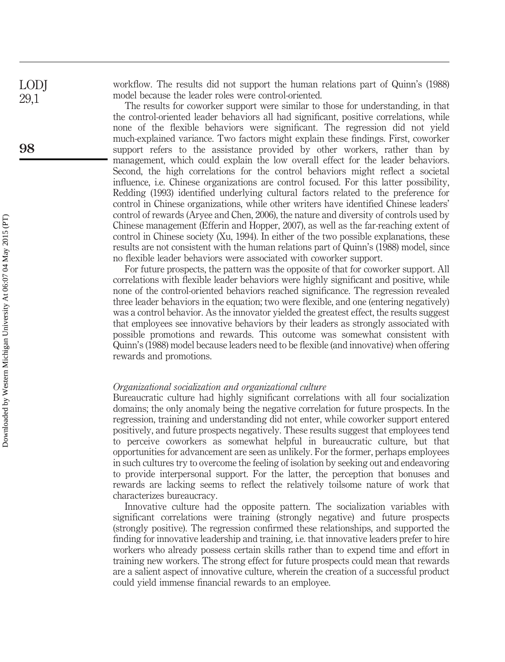workflow. The results did not support the human relations part of Quinn's (1988) model because the leader roles were control-oriented.

The results for coworker support were similar to those for understanding, in that the control-oriented leader behaviors all had significant, positive correlations, while none of the flexible behaviors were significant. The regression did not yield much-explained variance. Two factors might explain these findings. First, coworker support refers to the assistance provided by other workers, rather than by management, which could explain the low overall effect for the leader behaviors. Second, the high correlations for the control behaviors might reflect a societal influence, i.e. Chinese organizations are control focused. For this latter possibility, Redding (1993) identified underlying cultural factors related to the preference for control in Chinese organizations, while other writers have identified Chinese leaders' control of rewards (Aryee and Chen, 2006), the nature and diversity of controls used by Chinese management (Efferin and Hopper, 2007), as well as the far-reaching extent of control in Chinese society (Xu, 1994). In either of the two possible explanations, these results are not consistent with the human relations part of Quinn's (1988) model, since no flexible leader behaviors were associated with coworker support.

For future prospects, the pattern was the opposite of that for coworker support. All correlations with flexible leader behaviors were highly significant and positive, while none of the control-oriented behaviors reached significance. The regression revealed three leader behaviors in the equation; two were flexible, and one (entering negatively) was a control behavior. As the innovator yielded the greatest effect, the results suggest that employees see innovative behaviors by their leaders as strongly associated with possible promotions and rewards. This outcome was somewhat consistent with Quinn's (1988) model because leaders need to be flexible (and innovative) when offering rewards and promotions.

## Organizational socialization and organizational culture

Bureaucratic culture had highly significant correlations with all four socialization domains; the only anomaly being the negative correlation for future prospects. In the regression, training and understanding did not enter, while coworker support entered positively, and future prospects negatively. These results suggest that employees tend to perceive coworkers as somewhat helpful in bureaucratic culture, but that opportunities for advancement are seen as unlikely. For the former, perhaps employees in such cultures try to overcome the feeling of isolation by seeking out and endeavoring to provide interpersonal support. For the latter, the perception that bonuses and rewards are lacking seems to reflect the relatively toilsome nature of work that characterizes bureaucracy.

Innovative culture had the opposite pattern. The socialization variables with significant correlations were training (strongly negative) and future prospects (strongly positive). The regression confirmed these relationships, and supported the finding for innovative leadership and training, i.e. that innovative leaders prefer to hire workers who already possess certain skills rather than to expend time and effort in training new workers. The strong effect for future prospects could mean that rewards are a salient aspect of innovative culture, wherein the creation of a successful product could yield immense financial rewards to an employee.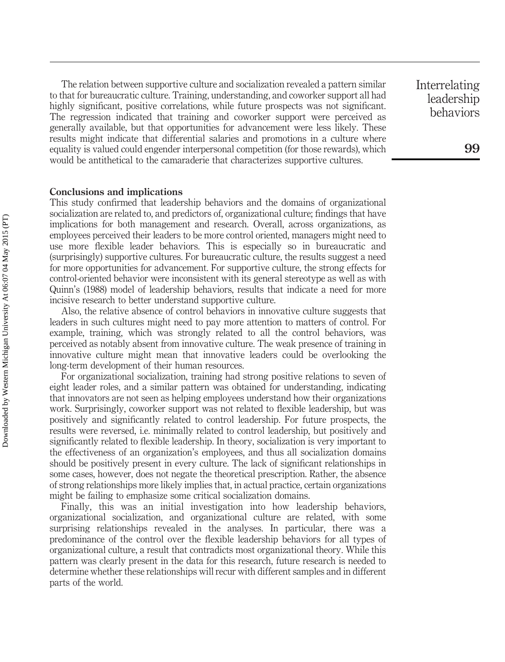The relation between supportive culture and socialization revealed a pattern similar to that for bureaucratic culture. Training, understanding, and coworker support all had highly significant, positive correlations, while future prospects was not significant. The regression indicated that training and coworker support were perceived as generally available, but that opportunities for advancement were less likely. These results might indicate that differential salaries and promotions in a culture where equality is valued could engender interpersonal competition (for those rewards), which would be antithetical to the camaraderie that characterizes supportive cultures.

# Conclusions and implications

This study confirmed that leadership behaviors and the domains of organizational socialization are related to, and predictors of, organizational culture; findings that have implications for both management and research. Overall, across organizations, as employees perceived their leaders to be more control oriented, managers might need to use more flexible leader behaviors. This is especially so in bureaucratic and (surprisingly) supportive cultures. For bureaucratic culture, the results suggest a need for more opportunities for advancement. For supportive culture, the strong effects for control-oriented behavior were inconsistent with its general stereotype as well as with Quinn's (1988) model of leadership behaviors, results that indicate a need for more incisive research to better understand supportive culture.

Also, the relative absence of control behaviors in innovative culture suggests that leaders in such cultures might need to pay more attention to matters of control. For example, training, which was strongly related to all the control behaviors, was perceived as notably absent from innovative culture. The weak presence of training in innovative culture might mean that innovative leaders could be overlooking the long-term development of their human resources.

For organizational socialization, training had strong positive relations to seven of eight leader roles, and a similar pattern was obtained for understanding, indicating that innovators are not seen as helping employees understand how their organizations work. Surprisingly, coworker support was not related to flexible leadership, but was positively and significantly related to control leadership. For future prospects, the results were reversed, i.e. minimally related to control leadership, but positively and significantly related to flexible leadership. In theory, socialization is very important to the effectiveness of an organization's employees, and thus all socialization domains should be positively present in every culture. The lack of significant relationships in some cases, however, does not negate the theoretical prescription. Rather, the absence of strong relationships more likely implies that, in actual practice, certain organizations might be failing to emphasize some critical socialization domains.

Finally, this was an initial investigation into how leadership behaviors, organizational socialization, and organizational culture are related, with some surprising relationships revealed in the analyses. In particular, there was a predominance of the control over the flexible leadership behaviors for all types of organizational culture, a result that contradicts most organizational theory. While this pattern was clearly present in the data for this research, future research is needed to determine whether these relationships will recur with different samples and in different parts of the world.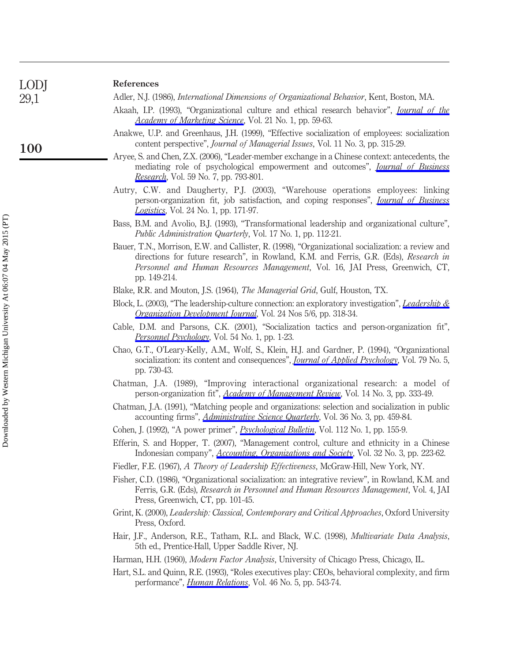| 29,1       | Adler, N.J. (1986), <i>International Dimensions of Organizational Behavior</i> , Kent, Boston, MA.                                                                                                                                                                                         |
|------------|--------------------------------------------------------------------------------------------------------------------------------------------------------------------------------------------------------------------------------------------------------------------------------------------|
|            | Akaah, I.P. (1993), "Organizational culture and ethical research behavior", <i>Journal of the</i><br>Academy of Marketing Science, Vol. 21 No. 1, pp. 59-63.                                                                                                                               |
| <b>100</b> | Anakwe, U.P. and Greenhaus, J.H. (1999), "Effective socialization of employees: socialization<br>content perspective", <i>Journal of Managerial Issues</i> , Vol. 11 No. 3, pp. 315-29.                                                                                                    |
|            | Aryee, S. and Chen, Z.X. (2006), "Leader-member exchange in a Chinese context: antecedents, the<br>mediating role of psychological empowerment and outcomes", <i>Journal of Business</i><br>Research, Vol. 59 No. 7, pp. 793-801.                                                          |
|            | Autry, C.W. and Daugherty, P.J. (2003), "Warehouse operations employees: linking<br>person-organization fit, job satisfaction, and coping responses", <i>Journal of Business</i><br>Logistics, Vol. 24 No. 1, pp. 171-97.                                                                  |
|            | Bass, B.M. and Avolio, B.J. (1993), "Transformational leadership and organizational culture",<br>Public Administration Quarterly, Vol. 17 No. 1, pp. 112-21.                                                                                                                               |
|            | Bauer, T.N., Morrison, E.W. and Callister, R. (1998), "Organizational socialization: a review and<br>directions for future research", in Rowland, K.M. and Ferris, G.R. (Eds), Research in<br>Personnel and Human Resources Management, Vol. 16, JAI Press, Greenwich, CT,<br>pp. 149-214. |
|            | Blake, R.R. and Mouton, J.S. (1964), The Managerial Grid, Gulf, Houston, TX.                                                                                                                                                                                                               |
|            | Block, L. (2003), "The leadership-culture connection: an exploratory investigation", <i>Leadership &amp;</i><br><i>Organization Development Journal</i> , Vol. 24 Nos 5/6, pp. 318-34.                                                                                                     |
|            | Cable, D.M. and Parsons, C.K. (2001), "Socialization tactics and person-organization fit",<br><i>Personnel Psychology</i> , Vol. 54 No. 1, pp. 1-23.                                                                                                                                       |
|            | Chao, G.T., O'Leary-Kelly, A.M., Wolf, S., Klein, H.J. and Gardner, P. (1994), "Organizational<br>socialization: its content and consequences", <i>Journal of Applied Psychology</i> , Vol. 79 No. 5,<br>pp. 730-43.                                                                       |
|            | Chatman, J.A. (1989), "Improving interactional organizational research: a model of<br>person-organization fit", Academy of Management Review, Vol. 14 No. 3, pp. 333-49.                                                                                                                   |
|            | Chatman, J.A. (1991), "Matching people and organizations: selection and socialization in public<br>accounting firms", <i>Administrative Science Quarterly</i> , Vol. 36 No. 3, pp. 459-84.                                                                                                 |
|            | Cohen, J. (1992), "A power primer", <i>Psychological Bulletin</i> , Vol. 112 No. 1, pp. 155-9.                                                                                                                                                                                             |
|            | Efferin, S. and Hopper, T. (2007), "Management control, culture and ethnicity in a Chinese<br>Indonesian company", Accounting, Organizations and Society, Vol. 32 No. 3, pp. 223-62.                                                                                                       |
|            | Fiedler, F.E. (1967), A Theory of Leadership Effectiveness, McGraw-Hill, New York, NY.                                                                                                                                                                                                     |
|            | Fisher, C.D. (1986), "Organizational socialization: an integrative review", in Rowland, K.M. and<br>Ferris, G.R. (Eds), Research in Personnel and Human Resources Management, Vol. 4, JAI<br>Press, Greenwich, CT, pp. 101-45.                                                             |
|            | Grint, K. (2000), Leadership: Classical, Contemporary and Critical Approaches, Oxford University<br>Press, Oxford.                                                                                                                                                                         |
|            | Hair, J.F., Anderson, R.E., Tatham, R.L. and Black, W.C. (1998), Multivariate Data Analysis,<br>5th ed., Prentice-Hall, Upper Saddle River, NJ.                                                                                                                                            |

References

- Harman, H.H. (1960), Modern Factor Analysis, University of Chicago Press, Chicago, IL.
- Hart, S.L. and Quinn, R.E. (1993), "Roles executives play: CEOs, behavioral complexity, and firm performance", *[Human Relations](http://www.emeraldinsight.com/action/showLinks?crossref=10.1177%2F001872679304600501&isi=A1993LG20800001)*, Vol. 46 No. 5, pp. 543-74.

LODJ 29,1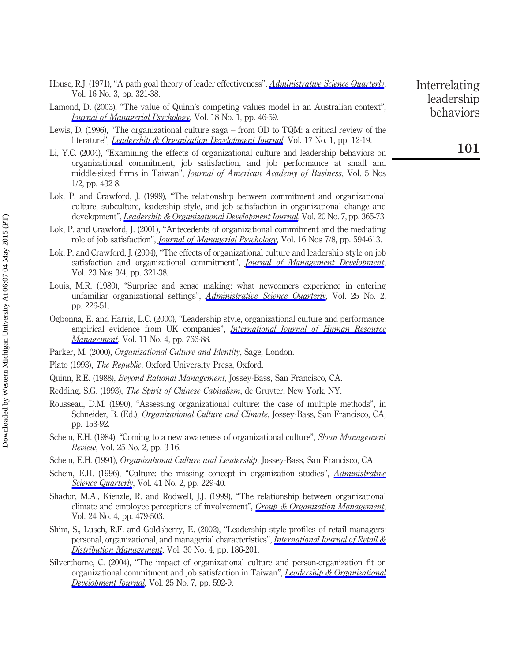- House, R.J. (1971), "A path goal theory of leader effectiveness", *[Administrative Science Quarterly](http://www.emeraldinsight.com/action/showLinks?crossref=10.2307%2F2391905&isi=A1971K638600008)*, Vol. 16 No. 3, pp. 321-38.
- Lamond, D. (2003), "The value of Quinn's competing values model in an Australian context", [Journal of Managerial Psychology](http://www.emeraldinsight.com/action/showLinks?system=10.1108%2F02683940310459583), Vol. 18 No. 1, pp. 46-59.
- Lewis, D. (1996), "The organizational culture saga from OD to TQM: a critical review of the literature", *[Leadership & Organization Development Journal](http://www.emeraldinsight.com/action/showLinks?system=10.1108%2F01437739610105995)*, Vol. 17 No. 1, pp. 12-19.
- Li, Y.C. (2004), "Examining the effects of organizational culture and leadership behaviors on organizational commitment, job satisfaction, and job performance at small and middle-sized firms in Taiwan", Journal of American Academy of Business, Vol. 5 Nos 1/2, pp. 432-8.
- Lok, P. and Crawford, J. (1999), "The relationship between commitment and organizational culture, subculture, leadership style, and job satisfaction in organizational change and development", *[Leadership & Organizational Development Journal](http://www.emeraldinsight.com/action/showLinks?system=10.1108%2F01437739910302524)*, Vol. 20 No. 7, pp. 365-73.
- Lok, P. and Crawford, J. (2001), "Antecedents of organizational commitment and the mediating role of job satisfaction", *[Journal of Managerial Psychology](http://www.emeraldinsight.com/action/showLinks?system=10.1108%2FEUM0000000006302)*, Vol. 16 Nos 7/8, pp. 594-613.
- Lok, P. and Crawford, J. (2004), "The effects of organizational culture and leadership style on job satisfaction and organizational commitment", *[Journal of Management Development](http://www.emeraldinsight.com/action/showLinks?system=10.1108%2F02621710410529785)*, Vol. 23 Nos 3/4, pp. 321-38.
- Louis, M.R. (1980), "Surprise and sense making: what newcomers experience in entering unfamiliar organizational settings", *[Administrative Science Quarterly](http://www.emeraldinsight.com/action/showLinks?crossref=10.2307%2F2392453&isi=A1980JU64500003)*, Vol. 25 No. 2, pp. 226-51.
- Ogbonna, E. and Harris, L.C. (2000), "Leadership style, organizational culture and performance: empirical evidence from UK companies", *[International Journal of Human Resource](http://www.emeraldinsight.com/action/showLinks?crossref=10.1080%2F09585190050075114&isi=000088744400008) [Management](http://www.emeraldinsight.com/action/showLinks?crossref=10.1080%2F09585190050075114&isi=000088744400008)*, Vol. 11 No. 4, pp. 766-88.
- Parker, M. (2000), Organizational Culture and Identity, Sage, London.
- Plato (1993), The Republic, Oxford University Press, Oxford.
- Quinn, R.E. (1988), Beyond Rational Management, Jossey-Bass, San Francisco, CA.
- Redding, S.G. (1993), The Spirit of Chinese Capitalism, de Gruyter, New York, NY.
- Rousseau, D.M. (1990), "Assessing organizational culture: the case of multiple methods", in Schneider, B. (Ed.), Organizational Culture and Climate, Jossey-Bass, San Francisco, CA, pp. 153-92.
- Schein, E.H. (1984), "Coming to a new awareness of organizational culture", Sloan Management Review, Vol. 25 No. 2, pp. 3-16.
- Schein, E.H. (1991), Organizational Culture and Leadership, Jossey-Bass, San Francisco, CA.
- Schein, E.H. (1996), "Culture: the missing concept in organization studies", *[Administrative](http://www.emeraldinsight.com/action/showLinks?crossref=10.2307%2F2393715&isi=A1996UU97400003)* [Science Quarterly](http://www.emeraldinsight.com/action/showLinks?crossref=10.2307%2F2393715&isi=A1996UU97400003), Vol. 41 No. 2, pp. 229-40.
- Shadur, M.A., Kienzle, R. and Rodwell, J.J. (1999), "The relationship between organizational climate and employee perceptions of involvement",  $Group & Organization Management$ Vol. 24 No. 4, pp. 479-503.
- Shim, S., Lusch, R.F. and Goldsberry, E. (2002), "Leadership style profiles of retail managers: personal, organizational, and managerial characteristics", [International Journal of Retail &](http://www.emeraldinsight.com/action/showLinks?system=10.1108%2F09590550210423663) [Distribution Management](http://www.emeraldinsight.com/action/showLinks?system=10.1108%2F09590550210423663), Vol. 30 No. 4, pp. 186-201.
- Silverthorne, C. (2004), "The impact of organizational culture and person-organization fit on organizational commitment and job satisfaction in Taiwan", *[Leadership & Organizational](http://www.emeraldinsight.com/action/showLinks?system=10.1108%2F01437730410561477)* [Development Journal](http://www.emeraldinsight.com/action/showLinks?system=10.1108%2F01437730410561477), Vol. 25 No. 7, pp. 592-9.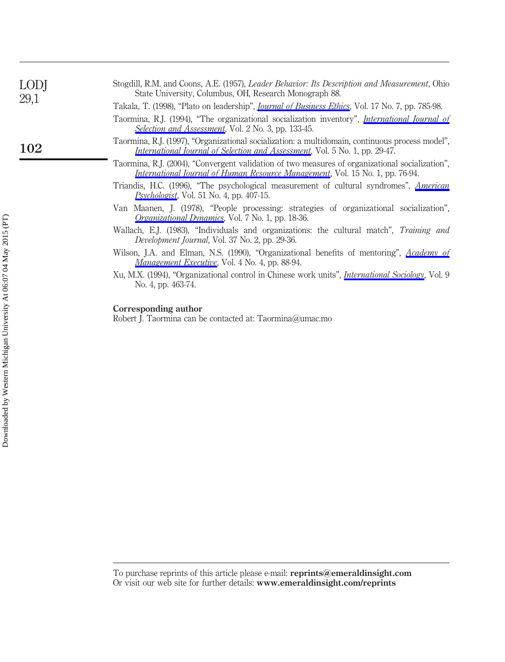| <b>LODJ</b><br>29,1 | Stogdill, R.M. and Coons, A.E. (1957), <i>Leader Behavior: Its Description and Measurement</i> , Ohio<br>State University, Columbus, OH, Research Monograph 88.                          |
|---------------------|------------------------------------------------------------------------------------------------------------------------------------------------------------------------------------------|
|                     | Takala, T. (1998), "Plato on leadership", <i>Journal of Business Ethics</i> , Vol. 17 No. 7, pp. 785-98.                                                                                 |
|                     | Taormina, R.J. (1994), "The organizational socialization inventory", <i>International Journal of</i><br><i>Selection and Assessment, Vol. 2 No. 3, pp. 133-45.</i>                       |
| <b>102</b>          | Taormina, R.J. (1997), "Organizational socialization: a multidomain, continuous process model",<br><i>International Journal of Selection and Assessment, Vol. 5 No. 1, pp. 29-47.</i>    |
|                     | Taormina, R.J. (2004), "Convergent validation of two measures of organizational socialization",<br><i>International Journal of Human Resource Management</i> , Vol. 15 No. 1, pp. 76-94. |
|                     | Triandis, H.C. (1996), "The psychological measurement of cultural syndromes", <i>American</i><br><i>Psychologist</i> , Vol. 51 No. 4, pp. 407-15.                                        |
|                     | Van Maanen, J. (1978), "People processing: strategies of organizational socialization",<br><i>Organizational Dynamics</i> , Vol. 7 No. 1, pp. 18-36.                                     |
|                     | Wallach, E.J. (1983), "Individuals and organizations: the cultural match", <i>Training and</i><br><i>Development Journal</i> , Vol. 37 No. 2, pp. 29-36.                                 |
|                     | Wilson, J.A. and Elman, N.S. (1990), "Organizational benefits of mentoring", <i>Academy of</i><br><i>Management Executive</i> , Vol. 4 No. 4, pp. 88-94.                                 |

Robert J. Taormina can be contacted at: Taormina@umac.mo

No. 4, pp. 463-74.

Corresponding author

Xu, M.X. (1994), "Organizational control in Chinese work units", [International Sociology](http://www.emeraldinsight.com/action/showLinks?crossref=10.1177%2F026858094009004005&isi=A1994PX63700005), Vol. 9

To purchase reprints of this article please e-mail: reprints@emeraldinsight.com Or visit our web site for further details: www.emeraldinsight.com/reprints